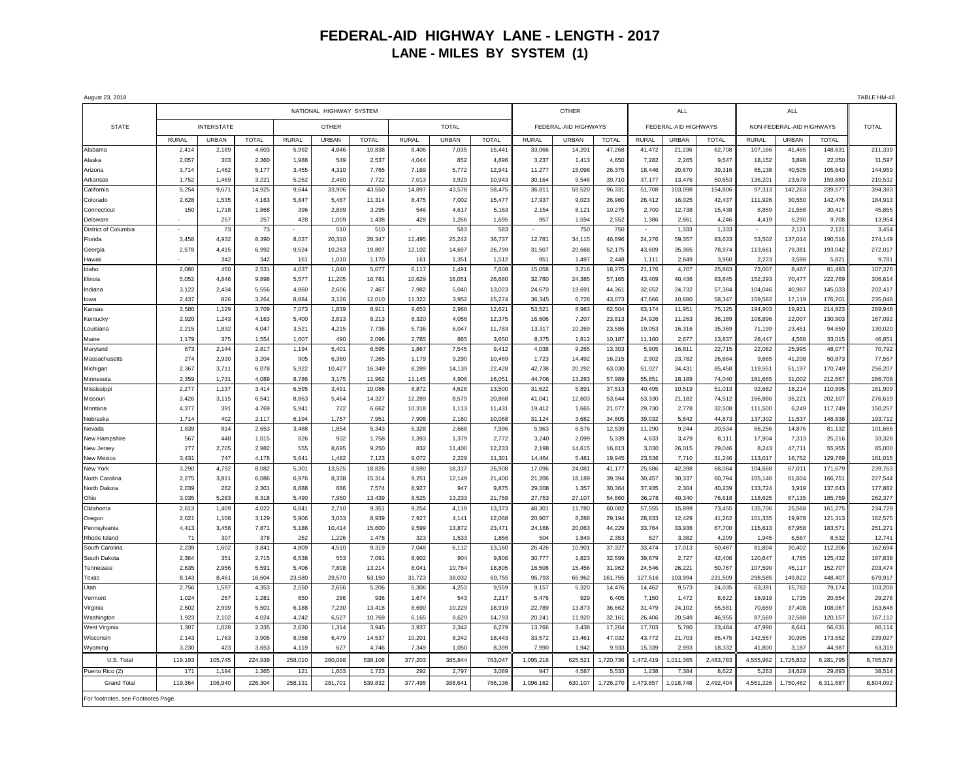## **FEDERAL-AID HIGHWAY LANE - LENGTH - 2017 LANE - MILES BY SYSTEM (1)**

| August 23, 2018                   |                         |              |                |              |                |                |              |                 |                 |                      |                 |                 |                      |                 |                  |                          |                 |                  | TABLE HM-48      |
|-----------------------------------|-------------------------|--------------|----------------|--------------|----------------|----------------|--------------|-----------------|-----------------|----------------------|-----------------|-----------------|----------------------|-----------------|------------------|--------------------------|-----------------|------------------|------------------|
|                                   | NATIONAL HIGHWAY SYSTEM |              |                |              |                |                |              |                 |                 |                      | <b>OTHER</b>    |                 |                      | <b>ALL</b>      |                  | <b>ALL</b>               |                 |                  |                  |
| <b>STATE</b>                      | <b>INTERSTATE</b>       |              |                | <b>OTHER</b> |                |                | <b>TOTAL</b> |                 |                 | FEDERAL-AID HIGHWAYS |                 |                 | FEDERAL-AID HIGHWAYS |                 |                  | NON-FEDERAL-AID HIGHWAYS |                 |                  | <b>TOTAL</b>     |
|                                   | <b>RURAL</b>            | <b>URBAN</b> | <b>TOTAL</b>   | <b>RURAL</b> | URBAN          | <b>TOTAL</b>   | <b>RURAL</b> | <b>URBAN</b>    | <b>TOTAL</b>    | <b>RURAL</b>         | <b>URBAN</b>    | <b>TOTAL</b>    | RURAL                | URBAN           | <b>TOTAL</b>     | <b>RURAL</b>             | URBAN           | <b>TOTAL</b>     |                  |
| Alabama                           | 2,414                   | 2,189        | 4,603          | 5,992        | 4,846          | 10,838         | 8,406        | 7,035           | 15,441          | 33,066               | 14,201          | 47,268          | 41,472               | 21,236          | 62,708           | 107,166                  | 41,465          | 148,631          | 211,339          |
| Alaska                            | 2,057                   | 303          | 2,360          | 1,988        | 549            | 2,537          | 4,044        | 852             | 4,896           | 3,237                | 1,413           | 4,650           | 7,282                | 2,265           | 9,547            | 18,152                   | 3,898           | 22,050           | 31,597           |
| Arizona                           | 3,714                   | 1,462        | 5,177          | 3,455        | 4,310          | 7,765          | 7,169        | 5,772           | 12,941          | 11,277               | 15,098          | 26,375          | 18,446               | 20,870          | 39,316           | 65,138                   | 40,505          | 105,643          | 144,959          |
| Arkansas                          | 1,752                   | 1,469        | 3,221          | 5,262        | 2,460          | 7,722          | 7,013        | 3,929           | 10,943          | 30,164               | 9,546           | 39.710          | 37,177               | 13,476          | 50,653           | 136,201                  | 23,678          | 159,880          | 210,532          |
| California                        | 5,254                   | 9,671        | 14,925         | 9,644        | 33,906         | 43,550         | 14,897       | 43,578          | 58,475          | 36,811               | 59,520          | 96,331          | 51,708               | 103,098         | 154,806          | 97,313                   | 142,263         | 239,577          | 394,383          |
| Colorado                          | 2,628                   | 1,535        | 4,163          | 5,847        | 5.467          | 11.314         | 8,475        | 7,002           | 15,477          | 17,937               | 9,023           | 26,960          | 26,412               | 16,025          | 42,437           | 111,926                  | 30,550          | 142,476          | 184,913          |
| Connecticu                        | 150                     | 1,718        | 1,868          | 396          | 2,899          | 3,295          | 546          | 4,617           | 5,163           | 2,154                | 8,121           | 10,275          | 2,700                | 12,738          | 15,438           | 8,859                    | 21,558          | 30,417           | 45,855           |
| Delaware                          |                         | 257          | 257            | 428          | 1,009          | 1,438          | 428          | 1,266           | 1,695           | 957                  | 1,594           | 2.552           | 1,386                | 2.861           | 4.246            | 4,419                    | 5.290           | 9.708            | 13,954           |
| District of Columbia              |                         | 73           | 73             |              | 510            | 510            |              | 583             | 583             |                      | 750             | 750             |                      | 1,333           | 1,333            |                          | 2,121           | 2,121            | 3,454            |
| Florida                           | 3,458                   | 4,932        | 8,390          | 8,037        | 20,310         | 28,347         | 11,495       | 25,242          | 36,737          | 12,781               | 34,115          | 46,896          | 24,276               | 59,357          | 83,633           | 53,502                   | 137,014         | 190,516          | 274,149          |
| Georgia                           | 2,578                   | 4,415        | 6,992          | 9,524        | 10,283         | 19,807         | 12,102       | 14,697          | 26,799          | 31,507               | 20,668          | 52.175          | 43,609               | 35,365          | 78,974           | 113,661                  | 79,381          | 193,042          | 272,017          |
| Hawaii                            |                         | 342          | 342            | 161          | 1,010          | 1,170          | 161          | 1,351           | 1,512           | 951                  | 1,497           | 2.448           | 1,111                | 2.849           | 3.960            | 2,223                    | 3.598           | 5,821            | 9,781            |
| Idaho                             | 2,080                   | 450          | 2,531          | 4,037        | 1,040          | 5,077          | 6,117        | 1,491           | 7,608           | 15,058               | 3,216           | 18,275          | 21,176               | 4,707           | 25,883           | 73,007                   | 8,487           | 81,493           | 107,376          |
| Illinois                          | 5,052                   | 4,846        | 9,898          | 5,577        | 11,205         | 16,781         | 10,629       | 16,051          | 26,680          | 32,780               | 24,385          | 57,165          | 43,409               | 40,436          | 83,845           | 152,293                  | 70,477          | 222,769          | 306,614          |
| Indiana                           | 3,122                   | 2,434        | 5,556          | 4,860        | 2,606          | 7.467          | 7,982        | 5,040           | 13,023          | 24,670               | 19,691          | 44,361          | 32,652               | 24.732          | 57,384           | 104,046                  | 40,987          | 145,033          | 202,417          |
| lowa                              | 2.437                   | 826          | 3,264          | 8,884        | 3,126          | 12,010         | 11,322       | 3,952           | 15,274          | 36,345               | 6,728           | 43.073          | 47,666               | 10.680          | 58.347           | 159,582                  | 17,119          | 176,701          | 235,048          |
| Kansas                            | 2,580                   | 1,129        | 3,709          | 7,073        | 1,839          | 8,911          | 9,653        | 2,968           | 12,621          | 53,521               | 8,983           | 62,504          | 63,174               | 11,951          | 75,125           | 194,903                  | 19,921          | 214,823          | 289,948          |
| Kentucky                          | 2.920                   | 1.243        | 4,163          | 5.400        | 2.813          | 8,213          | 8,320        | 4.056           | 12,375          | 16,606               | 7,207           | 23.813          | 24,926               | 11.263          | 36.189           | 108,896                  | 22,007          | 130,903          | 167,092          |
| Louisiana                         | 2,215                   | 1,832        | 4.047          | 3.521        | 4,215          | 7.736          | 5.736        | 6,047           | 11.783          | 13.317               | 10,269          | 23.586          | 19,053               | 16.316          | 35.369           | 71.199                   | 23.451          | 94.650           | 130,020          |
| Maine                             | 1,179                   | 375          | 1,554          | 1,607        | 490            | 2,096          | 2,785        | 865             | 3,650           | 8,375                | 1,812           | 10,187          | 11,160               | 2,677           | 13,837           | 28,447                   | 4,568           | 33,015           | 46,851           |
| Maryland                          | 673                     | 2,144        | 2,817          | 1,194        | 5,401          | 6,595          | 1,867        | 7,545           | 9,412           | 4,038                | 9,265           | 13,303          | 5,905                | 16,811          | 22,715           | 22,082                   | 25,995          | 48,077           | 70,792           |
| Massachusetts                     | 274                     | 2,930        | 3,204          | 905          | 6,360          | 7,265          | 1,179        | 9,290           | 10,469          | 1,723                | 14,492          | 16,215          | 2,902                | 23,782          | 26,684           | 9,665                    | 41,208          | 50,873           | 77,557           |
| Michigan                          | 2,367                   | 3,711        | 6,078          | 5,922        | 10,427         | 16,349         | 8,289        | 14,139          | 22,428          | 42,738               | 20,292          | 63,030          | 51,027               | 34,431          | 85,458           | 119,551                  | 51,197          | 170,749          | 256,207          |
| Minnesota                         | 2,359                   | 1,731        | 4,089          | 8,786        | 3,175          | 11,962         | 11,145       | 4,906           | 16,051          | 44,706               | 13,283          | 57,989          | 55,851               | 18,189          | 74,040           | 181,665                  | 31,002          | 212,667          | 286,708          |
| Mississippi                       | 2,277                   | 1,137        | 3,414          | 6.595        | 3,491          | 10,086         | 8,872        | 4,628           | 13,500          | 31,622               | 5,891           | 37,513          | 40,495               | 10,519          | 51,013           | 92,682                   | 18,214          | 110,895          | 161,909          |
| Missouri                          | 3,426                   | 3,115        | 6,541          | 8,863        | 5,464          | 14,327         | 12,289       | 8,579           | 20,868          | 41,041               | 12,603          | 53,644          | 53,330               | 21,182          | 74,512           | 166,886                  | 35,221          | 202,107          | 276,619          |
| Montana                           | 4,377                   | 391          | 4,769          | 5,941        | 722            | 6,662          | 10,318       | 1,113           | 11,431          | 19,412               | 1,665           | 21,077          | 29,730               | 2.778           | 32,508           | 111,500                  | 6,249           | 117,749          | 150,257          |
| Nebraska                          | 1,714                   | 402          | 2,117          | 6,194        | 1,757          | 7,951          | 7,908        | 2,160           | 10,068          | 31,124               | 3,682           | 34.805          | 39.032               | 5.842           | 44.873           | 137,302                  | 11,537          | 148.838          | 193,712          |
| Nevada                            | 1,839                   | 814          | 2,653          | 3,488        | 1,854          | 5,343          | 5,328        | 2,668           | 7,996           | 5,963                | 6,576           | 12,539          | 11,290               | 9,244           | 20,534           | 66,256                   | 14,876          | 81,132           | 101,666          |
| New Hampshire                     | 567<br>277              | 448<br>2,705 | 1,015<br>2,982 | 826<br>555   | 932            | 1,758<br>9,250 | 1,393<br>832 | 1,379<br>11,400 | 2,772<br>12,233 | 3,240<br>2,198       | 2,099<br>14,615 | 5,339<br>16,813 | 4,633<br>3,030       | 3,479<br>26,015 | 8,111            | 17,904<br>8,243          | 7,313<br>47,711 | 25,216<br>55,955 | 33,328<br>85,000 |
| New Jersey<br>New Mexico          | 3,431                   | 747          | 4,178          | 5.641        | 8,695<br>1,482 | 7,123          | 9,072        | 2,229           | 11,301          | 14,464               | 5,481           | 19.945          | 23,536               | 7,710           | 29,046<br>31,246 | 113,017                  | 16,752          | 129,769          | 161,015          |
| New York                          | 3,290                   | 4,792        | 8,082          | 5,301        | 13,525         | 18,826         | 8,590        | 18,317          | 26,908          | 17,096               | 24,081          | 41,177          | 25,686               | 42,398          | 68,084           | 104,668                  | 67,011          | 171,679          | 239,763          |
| North Carolina                    | 2,275                   | 3,811        | 6,086          | 6,976        | 8,338          | 15,314         | 9,251        | 12,149          | 21,400          | 21,206               | 18,189          | 39.394          | 30,457               | 30,337          | 60.794           | 105,146                  | 61,604          | 166,751          | 227,544          |
| North Dakota                      | 2,039                   | 262          | 2,301          | 6,888        | 686            | 7,574          | 8,927        | 947             | 9,875           | 29,008               | 1,357           | 30,364          | 37,935               | 2,304           | 40,239           | 133,724                  | 3,919           | 137,643          | 177,882          |
| Ohio                              | 3,035                   | 5,283        | 8,318          | 5,490        | 7.950          | 13,439         | 8,525        | 13,233          | 21,758          | 27,753               | 27,107          | 54,860          | 36,278               | 40.340          | 76,618           | 118,625                  | 67,135          | 185,759          | 262,377          |
| Oklahoma                          | 2,613                   | 1,409        | 4,022          | 6,641        | 2,710          | 9,351          | 9,254        | 4,119           | 13,373          | 48,301               | 11,780          | 60,082          | 57,555               | 15,899          | 73,455           | 135,706                  | 25,568          | 161,275          | 234,729          |
| Oregon                            | 2,021                   | 1.108        | 3,129          | 5.906        | 3.033          | 8.939          | 7,927        | 4,141           | 12,068          | 20,907               | 8,288           | 29.194          | 28,833               | 12,429          | 41.262           | 101,335                  | 19,978          | 121.313          | 162,575          |
| Pennsylvania                      | 4,413                   | 3,458        | 7,871          | 5.186        | 10.414         | 15,600         | 9,599        | 13,872          | 23,471          | 24.166               | 20.063          | 44.229          | 33,764               | 33.936          | 67.700           | 115,613                  | 67,958          | 183.571          | 251,271          |
| Rhode Island                      | 71                      | 307          | 378            | 252          | 1,226          | 1,478          | 323          | 1,533           | 1,856           | 504                  | 1,849           | 2,353           | 827                  | 3,382           | 4,209            | 1,945                    | 6,587           | 8,532            | 12,741           |
| South Carolina                    | 2,239                   | 1,602        | 3,841          | 4,809        | 4,510          | 9,319          | 7,048        | 6,112           | 13,160          | 26,426               | 10,901          | 37,327          | 33,474               | 17,013          | 50,487           | 81,804                   | 30,402          | 112,206          | 162,694          |
| South Dakota                      | 2,364                   | 351          | 2,715          | 6,538        | 553            | 7,091          | 8,902        | 904             | 9,806           | 30,777               | 1,823           | 32,599          | 39,679               | 2,727           | 42,406           | 120,647                  | 4,785           | 125,432          | 167,838          |
| Tennessee                         | 2,635                   | 2,956        | 5,591          | 5,406        | 7,808          | 13,214         | 8,041        | 10,764          | 18,805          | 16,506               | 15,456          | 31,962          | 24,546               | 26,221          | 50,767           | 107,590                  | 45,117          | 152,707          | 203,474          |
| Texas                             | 8,143                   | 8,461        | 16,604         | 23,580       | 29,570         | 53,150         | 31,723       | 38,032          | 69,755          | 95,793               | 65,962          | 161,755         | 127,516              | 103,994         | 231,509          | 298,585                  | 149,822         | 448,407          | 679,917          |
| Utah                              | 2,756                   | 1,597        | 4,353          | 2,550        | 2,656          | 5,206          | 5,306        | 4,253           | 9,559           | 9,157                | 5,320           | 14,476          | 14,462               | 9,573           | 24,035           | 63,391                   | 15,782          | 79,174           | 103,208          |
| Vermont                           | 1,024                   | 257          | 1,281          | 650          | 286            | 936            | 1,674        | 543             | 2,217           | 5,476                | 929             | 6,405           | 7,150                | 1,472           | 8,622            | 18,919                   | 1,735           | 20,654           | 29,276           |
| Virginia                          | 2,502                   | 2.999        | 5,501          | 6.188        | 7,230          | 13,418         | 8,690        | 10,229          | 18,919          | 22.789               | 13,873          | 36.662          | 31,479               | 24,102          | 55,581           | 70,659                   | 37,408          | 108.067          | 163,648          |
| Washington                        | 1,923                   | 2,102        | 4,024          | 4,242        | 6,527          | 10,769         | 6,165        | 8,629           | 14,793          | 20,241               | 11,920          | 32.161          | 26,406               | 20.549          | 46.955           | 87,569                   | 32.588          | 120,157          | 167,112          |
| West Virginia                     | 1,307                   | 1,028        | 2,335          | 2,630        | 1,314          | 3,945          | 3,937        | 2,342           | 6,279           | 13,766               | 3,438           | 17,204          | 17,703               | 5,780           | 23,484           | 47,990                   | 8,641           | 56,631           | 80,114           |
| Wisconsin                         | 2,143                   | 1,763        | 3,905          | 8,058        | 6,479          | 14,537         | 10,201       | 8,242           | 18,443          | 33,572               | 13,461          | 47,032          | 43,772               | 21,703          | 65,475           | 142,557                  | 30,995          | 173,552          | 239,027          |
| Wyoming                           | 3,230                   | 423          | 3.653          | 4.119        | 627            | 4.746          | 7,349        | 1,050           | 8.399           | 7,990                | 1.942           | 9.933           | 15,339               | 2.993           | 18.332           | 41,800                   | 3.187           | 44.987           | 63.319           |
| U.S. Total                        | 119,193                 | 105,745      | 224,939        | 258,010      | 280,098        | 538,108        | 377,203      | 385,844         | 763,047         | 1,095,216            | 625,521         | 1,720,736       | 1,472,419            | 1,011,365       | 2,483,783        | 4,555,962                | 1,725,832       | 6,281,795        | 8,765,578        |
| Puerto Rico (2)                   | 171                     | 1.194        | 1,365          | 121          | 1,603          | 1,723          | 292          | 2,797           | 3,089           | 947                  | 4,587           | 5,533           | 1,238                | 7,384           | 8,622            | 5,263                    | 24,629          | 29,893           | 38,514           |
| <b>Grand Total</b>                | 119,364                 | 106,940      | 226,304        | 258,131      | 281,701        | 539,832        | 377,495      | 388,641         | 766,136         | 1,096,162            | 630,107         | 1,726,270       | 1,473,657            | 1,018,748       | 2,492,404        | 4,561,226                | 1,750,462       | 6,311,687        | 8,804,092        |
| For footnotes, see Footnotes Page |                         |              |                |              |                |                |              |                 |                 |                      |                 |                 |                      |                 |                  |                          |                 |                  |                  |